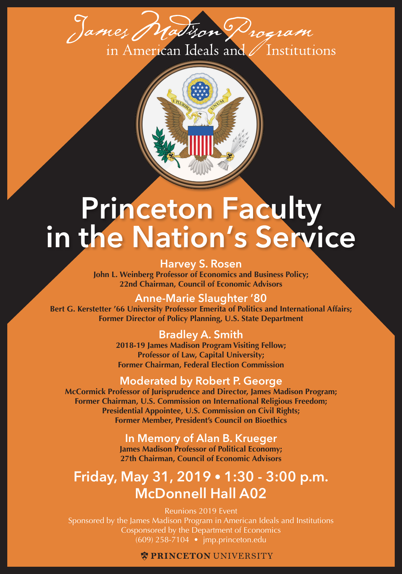

# **Princeton Faculty in the Nation's Service**

**Harvey S. Rosen John L. Weinberg Professor of Economics and Business Policy; 22nd Chairman, Council of Economic Advisors** 

**Anne-Marie Slaughter '80**

**Bert G. Kerstetter '66 University Professor Emerita of Politics and International Affairs; Former Director of Policy Planning, U.S. State Department**

## **Bradley A. Smith**

**2018-19 James Madison Program Visiting Fellow; Professor of Law, Capital University; Former Chairman, Federal Election Commission**

## **Moderated by Robert P. George**

**McCormick Professor of Jurisprudence and Director, James Madison Program; Former Chairman, U.S. Commission on International Religious Freedom; Presidential Appointee, U.S. Commission on Civil Rights; Former Member, President's Council on Bioethics**

**In Memory of Alan B. Krueger**

**James Madison Professor of Political Economy; 27th Chairman, Council of Economic Advisors**

# **Friday, May 31, 2019 • 1:30 - 3:00 p.m. McDonnell Hall A02**

Reunions 2019 Event Sponsored by the James Madison Program in American Ideals and Institutions Cosponsored by the Department of Economics (609) 258-7104 • jmp.princeton.edu

### **W PRINCETON UNIVERSITY**